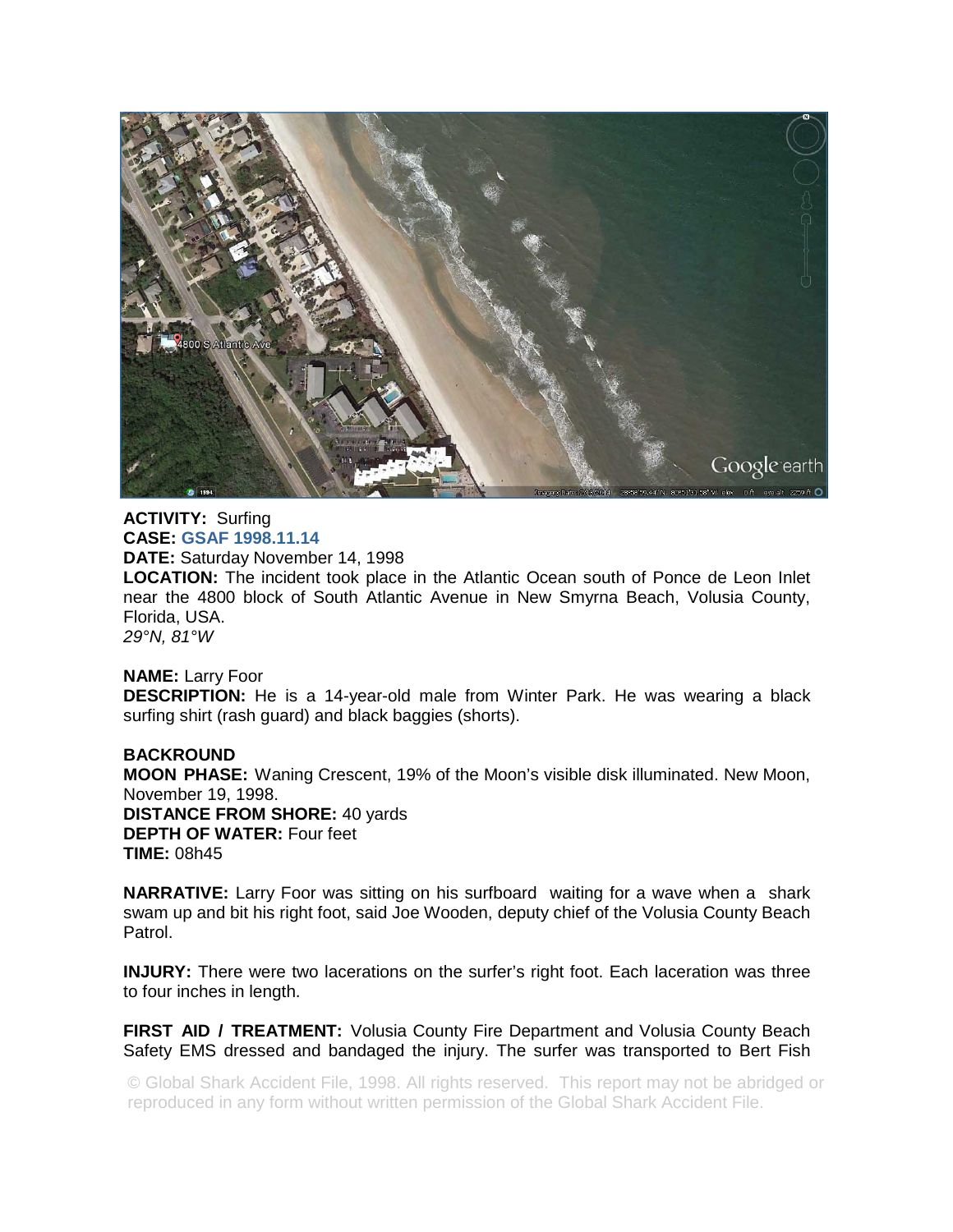

**ACTIVITY:** Surfing **CASE: GSAF 1998.11.14 DATE:** Saturday November 14, 1998 **LOCATION:** The incident took place in the Atlantic Ocean south of Ponce de Leon Inlet near the 4800 block of South Atlantic Avenue in New Smyrna Beach, Volusia County, Florida, USA. *29°N, 81°W* 

## **NAME:** Larry Foor

**DESCRIPTION:** He is a 14-year-old male from Winter Park. He was wearing a black surfing shirt (rash guard) and black baggies (shorts).

**BACKROUND MOON PHASE:** Waning Crescent, 19% of the Moon's visible disk illuminated. New Moon, November 19, 1998. **DISTANCE FROM SHORE:** 40 yards **DEPTH OF WATER:** Four feet **TIME:** 08h45

**NARRATIVE:** Larry Foor was sitting on his surfboard waiting for a wave when a shark swam up and bit his right foot, said Joe Wooden, deputy chief of the Volusia County Beach Patrol.

**INJURY:** There were two lacerations on the surfer's right foot. Each laceration was three to four inches in length.

**FIRST AID / TREATMENT:** Volusia County Fire Department and Volusia County Beach Safety EMS dressed and bandaged the injury. The surfer was transported to Bert Fish

© Global Shark Accident File, 1998. All rights reserved. This report may not be abridged or reproduced in any form without written permission of the Global Shark Accident File.